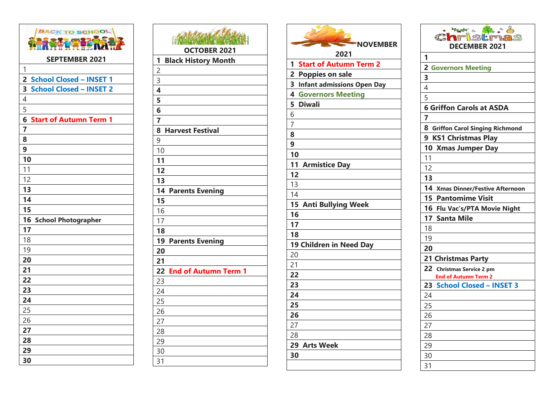| <b>BACK TO SCHOOL</b>                                    |  |
|----------------------------------------------------------|--|
| <b>SEPTEMBER 2021</b>                                    |  |
| $\mathbf{1}$                                             |  |
| $\overline{2}$<br><b>School Closed - INSET 1</b>         |  |
| 3<br><b>School Closed - INSET 2</b>                      |  |
| $\overline{\mathcal{L}}$                                 |  |
| 5                                                        |  |
| $\overline{\mathbf{6}}$<br><b>Start of Autumn Term 1</b> |  |
| $\overline{7}$                                           |  |
| 8                                                        |  |
| $\boldsymbol{9}$                                         |  |
| 10                                                       |  |
| 11                                                       |  |
| 12                                                       |  |
| 13                                                       |  |
| 14                                                       |  |
| 15                                                       |  |
| 16<br><b>School Photographer</b>                         |  |
| 17                                                       |  |
| 18                                                       |  |
| 19                                                       |  |
| 20                                                       |  |
| 21                                                       |  |
| 22                                                       |  |
| 23                                                       |  |
| 24                                                       |  |
| 25                                                       |  |
| 26                                                       |  |
| 27                                                       |  |
| 28                                                       |  |
| 29                                                       |  |
| 30                                                       |  |

| <b>TAN TA</b><br><b>OCTOBER 2021</b>                    |
|---------------------------------------------------------|
| 1<br><b>Black History Month</b>                         |
|                                                         |
|                                                         |
|                                                         |
| $\frac{2}{3}$ $\frac{3}{4}$ $\frac{4}{5}$ $\frac{5}{6}$ |
|                                                         |
| $\overline{\mathbf{z}}$                                 |
| 8<br><b>Harvest Festival</b>                            |
| 9                                                       |
| 10                                                      |
| 11                                                      |
| 12                                                      |
| 13                                                      |
| 14<br><b>Parents Evening</b>                            |
| 15                                                      |
| 16                                                      |
| 17                                                      |
| 18                                                      |
| 19<br><b>Parents Evening</b>                            |
| 20                                                      |
| 21                                                      |
| 22<br><b>End of Autumn Term 1</b>                       |
| 23                                                      |
| $\overline{24}$                                         |
| $\overline{25}$                                         |
| 26                                                      |
| 27                                                      |
| 28                                                      |
| 29                                                      |
| 30                                                      |
| 31                                                      |

| <b>NOVEMBER</b>                                     |
|-----------------------------------------------------|
| 2021                                                |
| <b>Start of Autumn Term 2</b><br>1                  |
| $\overline{2}$<br><b>Poppies on sale</b>            |
| 3<br><b>Infant admissions Open Day</b>              |
| $\overline{\mathbf{4}}$<br><b>Governors Meeting</b> |
| 5<br><b>Diwali</b>                                  |
| 6                                                   |
| $\overline{7}$                                      |
| 8                                                   |
| 9                                                   |
| 10                                                  |
| 11<br><b>Armistice Day</b>                          |
| 12                                                  |
| 13                                                  |
| 14                                                  |
| 15<br><b>Anti Bullying Week</b>                     |
| 16                                                  |
| 17                                                  |
| 18                                                  |
| 19 Children in Need Day                             |
| 20                                                  |
| 21                                                  |
| 22                                                  |
| 23                                                  |
| 24                                                  |
| 25                                                  |
| 26                                                  |
| 27                                                  |
| 28                                                  |
| 29<br><b>Arts Week</b>                              |
| 30                                                  |
|                                                     |

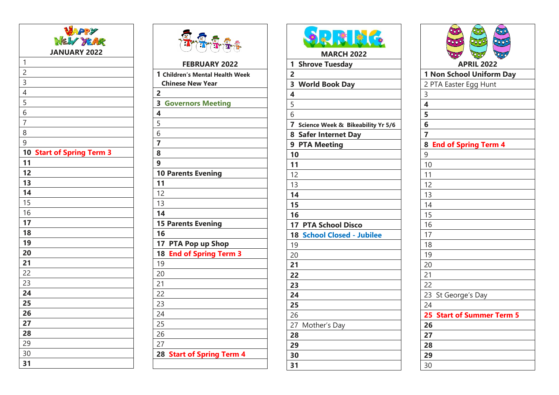| <b>WAPPY</b>              |  |
|---------------------------|--|
|                           |  |
| <b>JANUARY 2022</b>       |  |
| 1                         |  |
| $\overline{c}$            |  |
|                           |  |
| $\frac{3}{4}$             |  |
| $\frac{5}{6}$             |  |
|                           |  |
| $\overline{7}$            |  |
| 8                         |  |
| 9                         |  |
| 10 Start of Spring Term 3 |  |
| 11                        |  |
| 12                        |  |
| 13                        |  |
| 14                        |  |
| 15                        |  |
| 16                        |  |
| 17                        |  |
| 18                        |  |
| 19                        |  |
| 20                        |  |
| 21                        |  |
| 22                        |  |
| 23                        |  |
| 24                        |  |
| 25                        |  |
| 26                        |  |
| 27                        |  |
| 28                        |  |
| 29                        |  |
| 30                        |  |
| 31                        |  |





**MARCH 2022**

**1 Shrove Tuesday 23 World Book Day**  $rac{5}{6}$ **Science Week & Bikeability Yr 5 / 6 8 Safer Internet Day 9 PTA Meeting 17 PTA School Disco 18 School Closed - Jubilee** Mother's Day